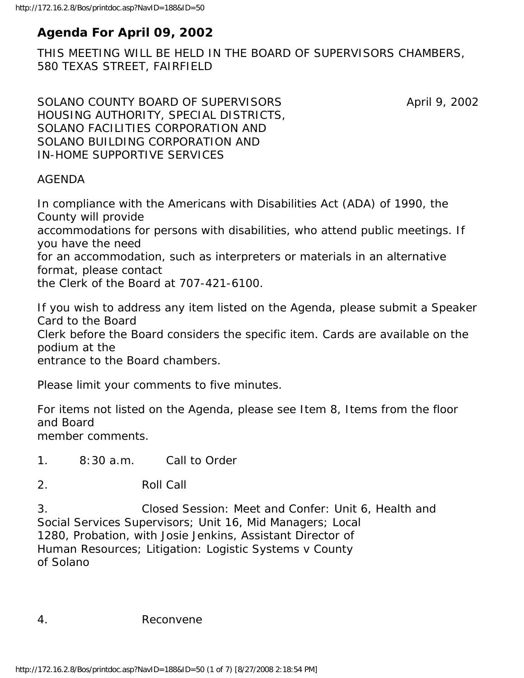# **Agenda For April 09, 2002**

THIS MEETING WILL BE HELD IN THE BOARD OF SUPERVISORS CHAMBERS, 580 TEXAS STREET, FAIRFIELD

SOLANO COUNTY BOARD OF SUPERVISORS April 9, 2002 HOUSING AUTHORITY, SPECIAL DISTRICTS, SOLANO FACILITIES CORPORATION AND SOLANO BUILDING CORPORATION AND IN-HOME SUPPORTIVE SERVICES

#### AGENDA

In compliance with the Americans with Disabilities Act (ADA) of 1990, the County will provide

accommodations for persons with disabilities, who attend public meetings. If you have the need

for an accommodation, such as interpreters or materials in an alternative format, please contact

the Clerk of the Board at 707-421-6100.

If you wish to address any item listed on the Agenda, please submit a Speaker Card to the Board

Clerk before the Board considers the specific item. Cards are available on the podium at the

entrance to the Board chambers.

Please limit your comments to five minutes.

For items not listed on the Agenda, please see Item 8, Items from the floor and Board member comments.

1. 8:30 a.m. Call to Order

2. Roll Call

3. Closed Session: Meet and Confer: Unit 6, Health and Social Services Supervisors; Unit 16, Mid Managers; Local 1280, Probation, with Josie Jenkins, Assistant Director of Human Resources; Litigation: Logistic Systems v County of Solano

4. Reconvene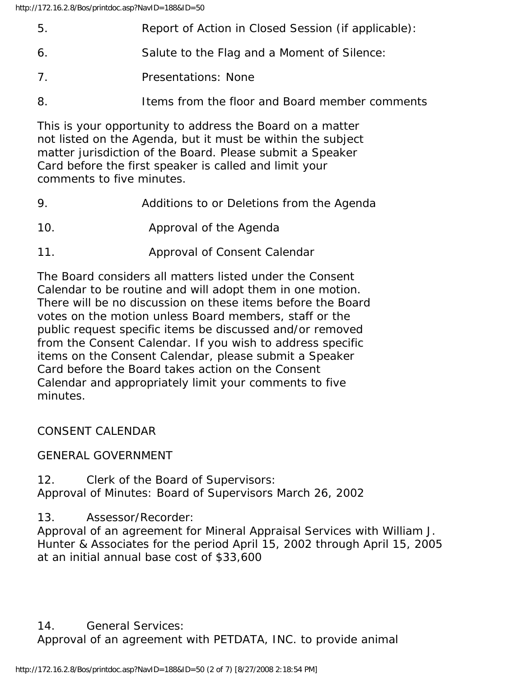| 5. | Report of Action in Closed Session (if applicable): |
|----|-----------------------------------------------------|
| 6. | Salute to the Flag and a Moment of Silence:         |

- 7. Presentations: None
- 8. Items from the floor and Board member comments

This is your opportunity to address the Board on a matter not listed on the Agenda, but it must be within the subject matter jurisdiction of the Board. Please submit a Speaker Card before the first speaker is called and limit your comments to five minutes.

- 9. Additions to or Deletions from the Agenda
- 10. Approval of the Agenda
- 11. Approval of Consent Calendar

The Board considers all matters listed under the Consent Calendar to be routine and will adopt them in one motion. There will be no discussion on these items before the Board votes on the motion unless Board members, staff or the public request specific items be discussed and/or removed from the Consent Calendar. If you wish to address specific items on the Consent Calendar, please submit a Speaker Card before the Board takes action on the Consent Calendar and appropriately limit your comments to five minutes.

CONSENT CALENDAR

GENERAL GOVERNMENT

12. Clerk of the Board of Supervisors: Approval of Minutes: Board of Supervisors March 26, 2002

13. Assessor/Recorder:

Approval of an agreement for Mineral Appraisal Services with William J. Hunter & Associates for the period April 15, 2002 through April 15, 2005 at an initial annual base cost of \$33,600

14. General Services: Approval of an agreement with PETDATA, INC. to provide animal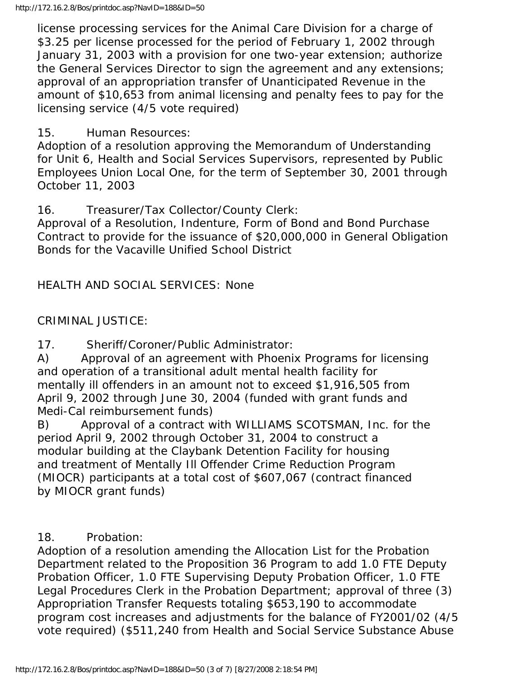license processing services for the Animal Care Division for a charge of \$3.25 per license processed for the period of February 1, 2002 through January 31, 2003 with a provision for one two-year extension; authorize the General Services Director to sign the agreement and any extensions; approval of an appropriation transfer of Unanticipated Revenue in the amount of \$10,653 from animal licensing and penalty fees to pay for the licensing service (4/5 vote required)

## 15. Human Resources:

Adoption of a resolution approving the Memorandum of Understanding for Unit 6, Health and Social Services Supervisors, represented by Public Employees Union Local One, for the term of September 30, 2001 through October 11, 2003

16. Treasurer/Tax Collector/County Clerk:

Approval of a Resolution, Indenture, Form of Bond and Bond Purchase Contract to provide for the issuance of \$20,000,000 in General Obligation Bonds for the Vacaville Unified School District

HEALTH AND SOCIAL SERVICES: None

## CRIMINAL JUSTICE:

17. Sheriff/Coroner/Public Administrator:

A) Approval of an agreement with Phoenix Programs for licensing and operation of a transitional adult mental health facility for mentally ill offenders in an amount not to exceed \$1,916,505 from April 9, 2002 through June 30, 2004 (funded with grant funds and Medi-Cal reimbursement funds)

B) Approval of a contract with WILLIAMS SCOTSMAN, Inc. for the period April 9, 2002 through October 31, 2004 to construct a modular building at the Claybank Detention Facility for housing and treatment of Mentally Ill Offender Crime Reduction Program (MIOCR) participants at a total cost of \$607,067 (contract financed by MIOCR grant funds)

## 18. Probation:

Adoption of a resolution amending the Allocation List for the Probation Department related to the Proposition 36 Program to add 1.0 FTE Deputy Probation Officer, 1.0 FTE Supervising Deputy Probation Officer, 1.0 FTE Legal Procedures Clerk in the Probation Department; approval of three (3) Appropriation Transfer Requests totaling \$653,190 to accommodate program cost increases and adjustments for the balance of FY2001/02 (4/5 vote required) (\$511,240 from Health and Social Service Substance Abuse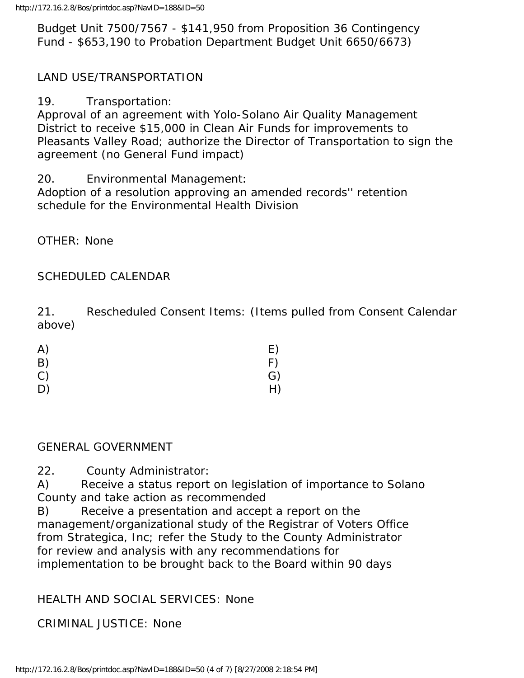Budget Unit 7500/7567 - \$141,950 from Proposition 36 Contingency Fund - \$653,190 to Probation Department Budget Unit 6650/6673)

## LAND USE/TRANSPORTATION

19. Transportation:

Approval of an agreement with Yolo-Solano Air Quality Management District to receive \$15,000 in Clean Air Funds for improvements to Pleasants Valley Road; authorize the Director of Transportation to sign the agreement (no General Fund impact)

20. Environmental Management:

Adoption of a resolution approving an amended records'' retention schedule for the Environmental Health Division

OTHER: None

## SCHEDULED CALENDAR

21. Rescheduled Consent Items: (Items pulled from Consent Calendar above)

| A) | E) |
|----|----|
| B) | F) |
| C) | G) |
| D) | H) |

#### GENERAL GOVERNMENT

22. County Administrator:

A) Receive a status report on legislation of importance to Solano County and take action as recommended

B) Receive a presentation and accept a report on the management/organizational study of the Registrar of Voters Office from Strategica, Inc; refer the Study to the County Administrator for review and analysis with any recommendations for implementation to be brought back to the Board within 90 days

## HEALTH AND SOCIAL SERVICES: None

CRIMINAL JUSTICE: None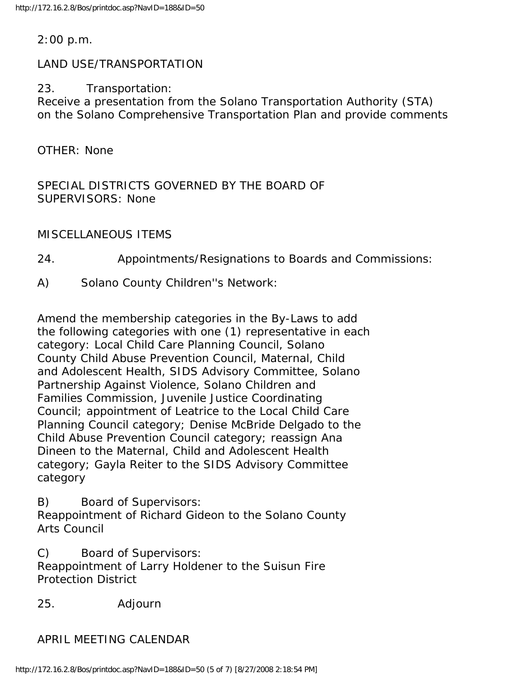#### 2:00 p.m.

#### LAND USE/TRANSPORTATION

#### 23. Transportation:

Receive a presentation from the Solano Transportation Authority (STA) on the Solano Comprehensive Transportation Plan and provide comments

OTHER: None

SPECIAL DISTRICTS GOVERNED BY THE BOARD OF SUPERVISORS: None

MISCELLANEOUS ITEMS

24. Appointments/Resignations to Boards and Commissions:

A) Solano County Children''s Network:

Amend the membership categories in the By-Laws to add the following categories with one (1) representative in each category: Local Child Care Planning Council, Solano County Child Abuse Prevention Council, Maternal, Child and Adolescent Health, SIDS Advisory Committee, Solano Partnership Against Violence, Solano Children and Families Commission, Juvenile Justice Coordinating Council; appointment of Leatrice to the Local Child Care Planning Council category; Denise McBride Delgado to the Child Abuse Prevention Council category; reassign Ana Dineen to the Maternal, Child and Adolescent Health category; Gayla Reiter to the SIDS Advisory Committee category

B) Board of Supervisors:

Reappointment of Richard Gideon to the Solano County Arts Council

C) Board of Supervisors:

Reappointment of Larry Holdener to the Suisun Fire Protection District

25. Adjourn

APRIL MEETING CALENDAR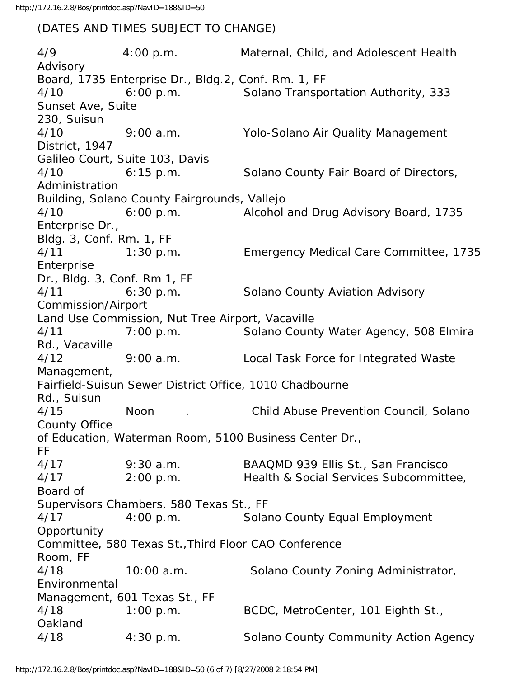#### (DATES AND TIMES SUBJECT TO CHANGE)

4/9 4:00 p.m. Maternal, Child, and Adolescent Health Advisory Board, 1735 Enterprise Dr., Bldg.2, Conf. Rm. 1, FF 4/10 6:00 p.m. Solano Transportation Authority, 333 Sunset Ave, Suite 230, Suisun 4/10 9:00 a.m. Yolo-Solano Air Quality Management District, 1947 Galileo Court, Suite 103, Davis 4/10 6:15 p.m. Solano County Fair Board of Directors, Administration Building, Solano County Fairgrounds, Vallejo 4/10 6:00 p.m. Alcohol and Drug Advisory Board, 1735 Enterprise Dr., Bldg. 3, Conf. Rm. 1, FF 4/11 1:30 p.m. Emergency Medical Care Committee, 1735 **Enterprise** Dr., Bldg. 3, Conf. Rm 1, FF 4/11 6:30 p.m. Solano County Aviation Advisory Commission/Airport Land Use Commission, Nut Tree Airport, Vacaville 4/11 7:00 p.m. Solano County Water Agency, 508 Elmira Rd., Vacaville 4/12 9:00 a.m. Local Task Force for Integrated Waste Management, Fairfield-Suisun Sewer District Office, 1010 Chadbourne Rd., Suisun 4/15 Noon . Child Abuse Prevention Council, Solano County Office of Education, Waterman Room, 5100 Business Center Dr., FF 4/17 9:30 a.m. BAAQMD 939 Ellis St., San Francisco 4/17 2:00 p.m. Health & Social Services Subcommittee, Board of Supervisors Chambers, 580 Texas St., FF 4/17 4:00 p.m. Solano County Equal Employment Opportunity Committee, 580 Texas St.,Third Floor CAO Conference Room, FF 4/18 10:00 a.m. Solano County Zoning Administrator, Environmental Management, 601 Texas St., FF 4/18 1:00 p.m. BCDC, MetroCenter, 101 Eighth St., Oakland 4/18 4:30 p.m. Solano County Community Action Agency